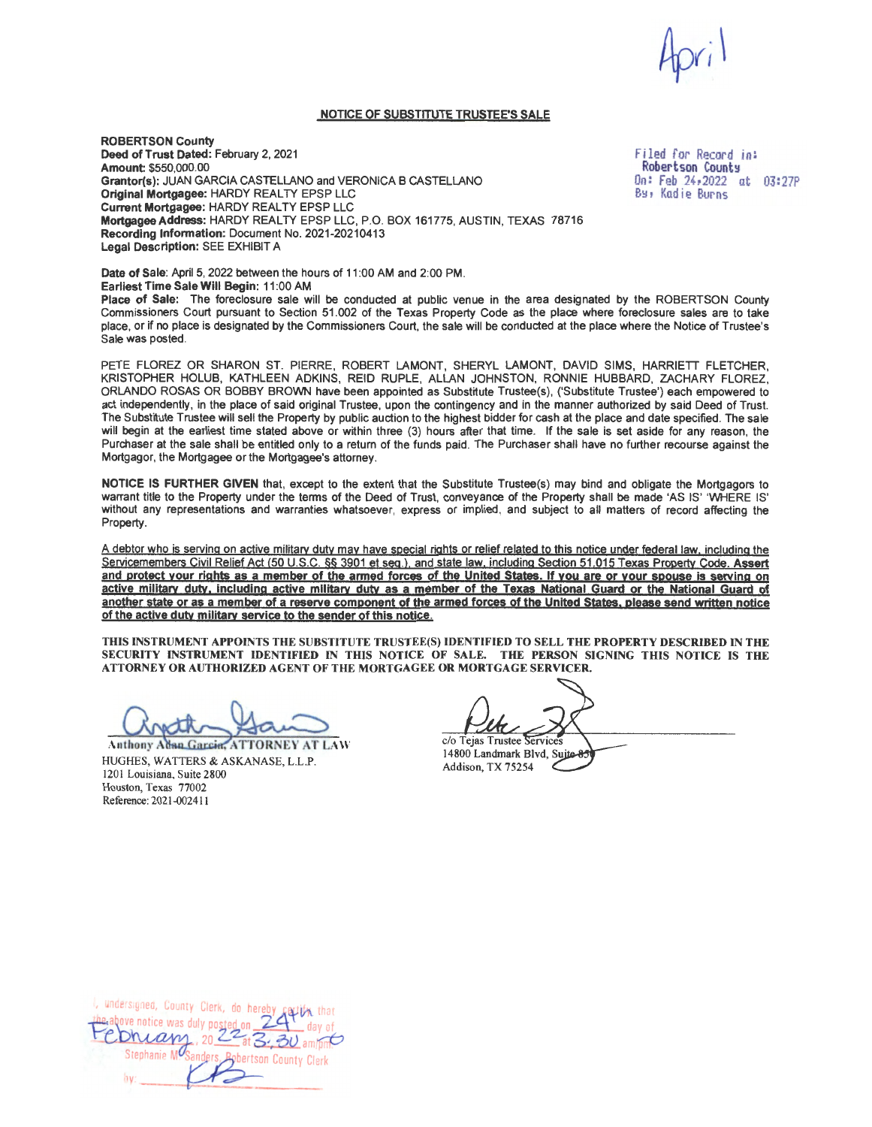## **NOTICE OF SUBSTITUTE TRUSTEE'S SALE**

**ROBERTSON County Deed of Trust Dated:** February 2, 2021 **Amount** \$550,000.00 **Grantor(s):** JUAN GARCIA CASTELLANO and VERONICA B CASTELLANO **Original Mortgagee: HARDY REALTY EPSP LLC Current Mortgagee: HARDY REALTY EPSP LLC Mortgagee Address:** HARDY REALTY EPSP LLC, P.O. BOX 161775, AUSTIN, TEXAS 78716 **Recording Information:** Document No. 2021 -20210413 **Legal Description:** SEE EXHIBIT A

Filed for Record in: Robertson County On: Feb 24,2022 at 03:27P B~, Kadie Burns

**Date of Sale:** April 5, 2022 between the hours of 11 :00 AM and 2:00 PM. **Earliest Time Sale Will Begin:** 11 :00 AM Place of Sale: The foreclosure sale will be conducted at public venue in the area designated by the ROBERTSON County Commissioners Court pursuant to Section 51 .002 of the Texas Property Code as the place where foreclosure sales are to take place, or if no place is designated by the Commissioners Court, the sale will be conducted at the place where the Notice of Trustee's Sale was posted.

PETE FLOREZ OR SHARON ST. PIERRE, ROBERT LAMONT, SHERYL LAMONT, DAVID SIMS, HARRIETT FLETCHER, KRISTOPHER HOLUB, KATHLEEN ADKINS, REID RUPLE, ALLAN JOHNSTON, RONNIE HUBBARD, ZACHARY FLOREZ, ORLANDO ROSAS OR BOBBY BROWN have been appointed as Substitute Trustee(s), ('Substitute Trustee') each empowered to act independently, in the place of said original Trustee, upon the contingency and in the manner authorized by said Deed of Trust. The Substitute Trustee will sell the Property by public auction to the highest bidder for cash at the place and date specified. The sale will begin at the earliest time stated above or within three (3) hours after that time. If the sale is set aside for any reason, the Purchaser at the sale shall be entitled only to a return of the funds paid. The Purchaser shall have no further recourse against the Mortgagor, the Mortgagee or the Mortgagee's attorney.

**NOTICE IS FURTHER GIVEN** that, except to the extent that the Substitute Trustee(s) may bind and obligate the Mortgagors to warrant title to the Property under the terms of the Deed of Trust, conveyance of the Property shall be made 'AS IS' 'WHERE IS' without any representations and warranties whatsoever, express or implied, and subject to all matters of record affecting the Property.

A debtor who is serving on active military duty may have special rights or relief related to this notice under federal law, including the Servicemembers Civil Relief Act {50 u.s.c. §§ 3901 et seq.}, and state law. including Section 51 .015 Texas Property Code. **Assert and protect your rights as a member of the armed forces of the United States. If you are or your spouse is serving on active military duty. including active military duty as a member of the Texas National Guard or the National Guard of another state or as a member of a reserve component of the armed forces of the United States, please send written notice of the active duty military service to the sender of this notice.** 

**THIS INSTRUMENT APPOINTS THE SUBSTITUTE TRUSTEE(S) IDENTIFIED TO SELL THE PROPERTY DESCRIBED** IN **THE**  SECURITY INSTRUMENT IDENTIFIED IN THIS NOTICE OF SALE. THE PERSON SIGNING THIS NOTICE IS THE **ATTORNEY OR AUTHORIZED AGENT OF THE MORTGAGEE OR MORTGAGE SERVICER.** 

**Anthony Adan Garcin, ATTORNEY AT LAW** HUGHES, WATTERS & ASKANASE, L.L.P. 1201 Louisiana, Suite 2800 Houston, Texas 77002 Reference: 2021-002411

c/o Tejas Trustee Services 14800 Landmark Blvd, Suite-8: Addison, TX 75254

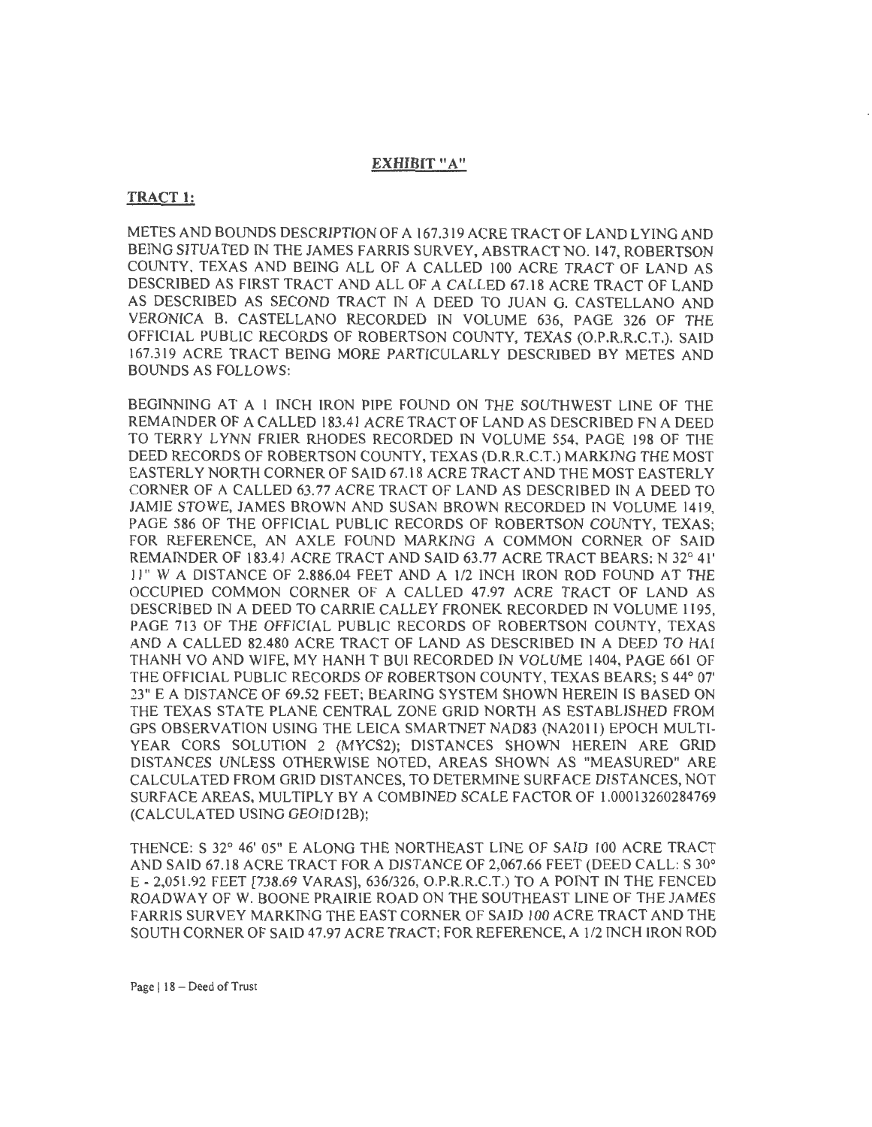## **EXHIBIT "A"**

## **TRACT 1:**

METES AND BOUNDS DESCRIPTION OF A 167.319 ACRE TRACT OF LAND LYING AND BEING SITUATED IN THE JAMES FARRIS SURVEY, ABSTRACT NO. 147, ROBERTSON COUNTY, TEXAS AND BEING ALL OF A CALLED 100 ACRE TRACT OF LAND AS DESCRIBED AS FIRST TRACT AND ALL OF A CALLED 67.18 ACRE TRACT OF LAND AS DESCRIBED AS SECOND TRACT IN A DEED TO JUAN G. CASTELLANO AND VERONICA B. CASTELLANO RECORDED IN VOLUME 636, PAGE 326 OF THE OFFlCIAL PUBLIC RECORDS OF ROBERTSON COUNTY, TEXAS (O.P.R.R.C.T.). SAID 167.319 ACRE TRACT BEING MORE PARTICULARLY DESCRIBED BY METES AND BOUNDS AS FOLLOWS:

BEGINNING AT A 1 INCH IRON PIPE FOUND ON THE SOUTHWEST LINE OF THE REMAINDER OF A CALLED 183.41 ACRE TRACT OF LAND AS DESCRIBED FN A DEED TO TERRY LYNN FRIER RHODES RECORDED IN VOLUME 554, PAGE 198 OF THE DEED RECORDS OF ROBERTSON COUNTY, TEXAS (D.R.R.C.T.) MARKING THE MOST EASTERLY NORTH CORNER OF SAID 67.18 ACRE TRACT AND THE MOST EASTERLY CORNER OF A CALLED 63.77 ACRE TRACT OF LAND AS DESCRIBED IN A DEED TO JAMIE STOWE, JAMES BROWN AND SUSAN BROWN RECORDED IN VOLUME 1419, PAGE 586 OF THE OFFICIAL PUBLIC RECORDS OF ROBERTSON COUNTY, TEXAS; FOR REFERENCE, AN AXLE FOUND MARKING A COMMON CORNER OF SAID REMAINDER OF 183.41 ACRE TRACT AND SAID 63.77 ACRE TRACT BEARS: N 32° 41' 11" WA DISTANCE OF 2,886.04 FEET AND A 1/2 INCH IRON ROD FOUND AT THE OCCUPIED COMMON CORNER OF A CALLED 47.97 ACRE TRACT OF LAND AS DESCRIBED IN A DEED TO CARRIE CALLEY FRONEK RECORDED IN VOLUME 1195, PAGE 713 OF THE OFFICIAL PUBLIC RECORDS OF ROBERTSON COUNTY, TEXAS AND A CALLED 82.480 ACRE TRACT OF LAND AS DESCRIBED IN A DEED TO HAI THANH VO AND WIFE, MY HANH T BUl RECORDED IN VOLUME 1404, PAGE 661 OF THE OFFICIAL PUBLIC RECORDS OF ROBERTSON COUNTY, TEXAS BEARS; S 44° 07' 23" E A DISTANCE OF 69.52 FEET; BEARING SYSTEM SHOWN HEREIN IS BASED ON THE TEXAS STATE PLANE CENTRAL ZONE GRID NORTH AS ESTABLISHED FROM GPS OBSERVATION USING THE LEICA SMARTNET NAD83 (NA201 l) EPOCH MULTI-YEAR CORS SOLUTION 2 (MYCS2); DlSTANCES SHOWN HEREIN ARE GRID DISTANCES UNLESS OTHERWISE NOTED, AREAS SHOWN AS "MEASURED" ARE CALCULATED FROM GRID DISTANCES, TO DETERMINE SURF ACE DISTANCES, NOT SURFACE AREAS, MULTIPLY BY A COMBINED SCALE FACTOR OF l.00013260284769 (CALCULATED USING GEOID12B);

THENCE: S 32° 46' 05" E ALONG THE NORTHEAST LINE OF SAID 100 ACRE TRACT AND SAID 67.18 ACRE TRACT FOR A DISTANCE OF 2,067.66 FEET (DEED CALL: S 30° E - 2,051 .92 FEET [738.69 VARAS], 636/326, O.P.R.R.C.T.) TO A POINT IN THE FENCED ROADWAY OF W. BOONE PRAIRIE ROAD ON THE SOUTHEAST LINE OF THE JAMES FARRIS SURVEY MARKING THE EAST CORNER OF SAID 100 ACRE TRACT AND THE SOUTH CORNER OF SAID 47.97 ACRE TRACT; FOR REFERENCE, A 1/2 INCH IRON ROD

Page | 18 - Deed of Trust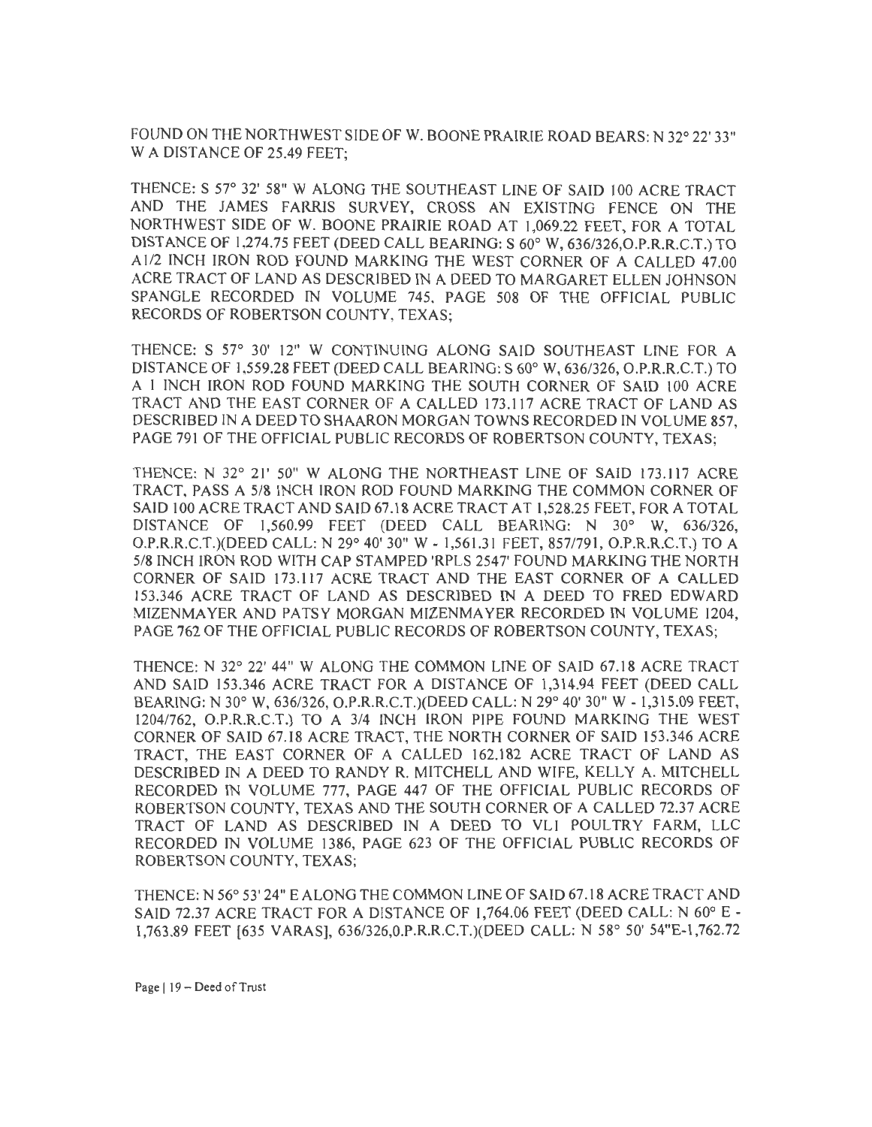FOUND ON THE NORTHWEST SIDE OF W. BOONE PRAIRIE ROAD BEARS: N 32° 22' 33" WA DISTANCE OF 25.49 FEET;

THENCE: S 57° 32' 58" W ALONG THE SOUTHEAST LINE OF SAID 100 ACRE TRACT AND THE JAMES FARRIS SURVEY, CROSS AN EXISTING FENCE ON THE NORTHWEST SIDE OF W. BOONE PRAIRIE ROAD AT 1,069.22 FEET, FOR A TOTAL DISTANCE OF 1,274.75 FEET (DEED CALL BEARING: S 60° W, 636/326,O.P.R.R.C.T.) TO Al/2 INCH IRON ROD FOUND MARKING THE WEST CORNER OF A CALLED 47.00 ACRE TRACT OF LAND AS DESCRIBED IN A DEED TO MARGARET ELLEN JOHNSON SPANGLE RECORDED IN VOLUME 745. PAGE 508 OF THE OFFICIAL PUBLIC RECORDS OF ROBERTSON COUNTY, TEXAS;

THENCE: S 57° 30' 12" W CONTINUING ALONG SAID SOUTHEAST LINE FOR A DISTANCE OF 1,559.28 FEET (DEED CALL BEARING: S 60° W, 636/326, O.P.R.R.C.T.) TO A 1 INCH IRON ROD FOUND MARKING THE SOUTH CORNER OF SAID 100 ACRE TRACT AND THE EAST CORNER OF A CALLED 173.117 ACRE TRACT OF LAND AS DESCRIBED IN A DEED TO SHAARON MORGAN TOWNS RECORDED IN VOLUME 857, PAGE 791 OF THE OFFICIAL PUBLIC RECORDS OF ROBERTSON COUNTY, TEXAS;

THENCE: N 32° 21' 50" W ALONG THE NORTHEAST LINE OF SAID 173.117 ACRE TRACT, PASS A 5/8 INCH IRON ROD FOUND MARKING THE COMMON CORNER OF SAID 100 ACRE TRACT AND SAID 67.18 ACRE TRACT AT 1,528.25 FEET, FOR A TOTAL DISTANCE OF 1,560.99 FEET (DEED CALL BEARING: N 30° W, 636/326, O.P.R.R.C.T.)(DEED CALL: N 29° 40' 30" W - 1,561.31 FEET, 857/791, O.P.R.R.C.T.) TO A 5/8 INCH IRON ROD WITH CAP STAMPED 'RPLS 2547' FOUND MARKING THE NORTH CORNER OF SAID 173.117 ACRE TRACT AND THE EAST CORNER OF A CALLED 153.346 ACRE TRACT OF LAND AS DESCRIBED IN A DEED TO FRED EDWARD MlZENMAYER AND PATSY MORGAN MIZENMAYER RECORDED IN VOLUME 1204, PAGE 762 OF THE OFFICIAL PUBLIC RECORDS OF ROBERTSON COUNTY, TEXAS;

THENCE: N 32° 22' 44" W ALONG THE COMMON LINE OF SAID 67.18 ACRE TRACT AND SAID 153.346 ACRE TRACT FOR A DISTANCE OF 1,314.94 FEET (DEED CALL BEARING: N 30° W, 636/326, O.P.R.R.C.T.)(DEED CALL: N 29° 40' 30" W - 1,315.09 FEET, 1204/762, O.P.R.R.C.T.) TO A 3/4 INCH IRON PIPE FOUND MARKING THE WEST CORNER OF SAID 67.18 ACRE TRACT, THE NORTH CORNER OF SAID 153.346 ACRE TRACT, THE EAST CORNER OF A CALLED 162.182 ACRE TRACT OF LAND AS DESCRIBED IN A DEED TO RANDY R. MITCHELL AND WIFE, KELLY A. MITCHELL RECORDED IN VOLUME 777, PAGE 447 OF THE OFFICIAL PUBLIC RECORDS OF ROBERTSON COUNTY, TEXAS AND THE SOUTH CORNER OF A CALLED 72.37 ACRE TRACT OF LAND AS DESCRIBED IN A DEED TO VL1 POULTRY FARM, LLC RECORDED IN VOLUME 1386, PAGE 623 OF THE OFFICIAL PUBLIC RECORDS OF ROBERTSON COUNTY, TEXAS;

THENCE: N 56° 53' 24" E ALONG THE COMMON LINE OF SAID 67.18 ACRE TRACT AND SAID 72.37 ACRE TRACT FOR A DISTANCE OF 1,764.06 FEET (DEED CALL: N 60° E - 1,763.89 FEET [635 VARAS], 636/326,0.P.R.R.C.T.)(DEED CALL: N 58° 50' 54"E-l,762.72

Page | 19 - Deed of Trust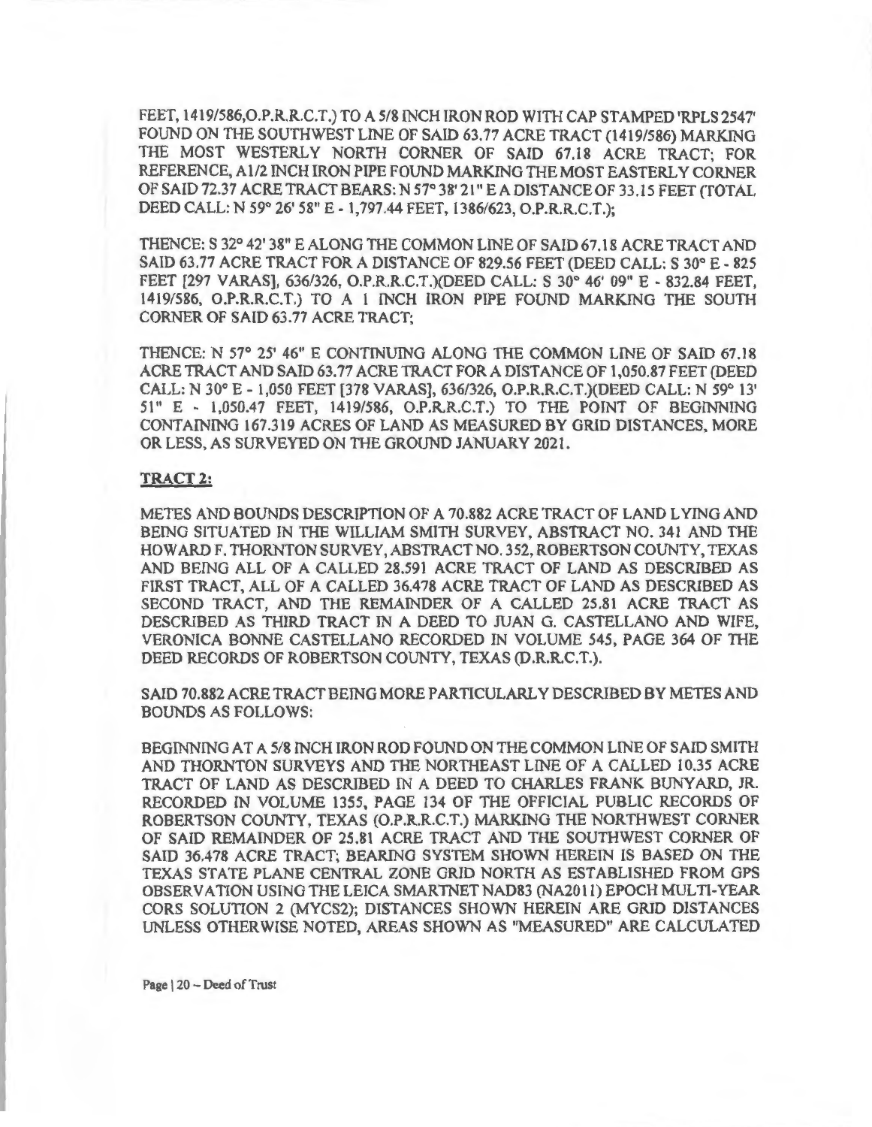FEET, 1419/586,O.P.R.R.C.T.) TO A 5/8 INCH IRON ROD WITH CAP STAMPED 'RPLS 2547' FOUND ON THE SOUTHWEST LINE OF SAID 63.77 ACRE TRACT (1419/586) MARKING THE MOST WESTERLY NORTH CORNER OF SAID 67.18 ACRE TRACT; FOR REFERENCE, Al/2 INCH IRON PIPE FOUND MARKING THE MOST EASTERLY CORNER OF SAID 72.37 ACRE TRACT BEARS: N 57° 38' 21" E A DISTANCE OF 33.15 FEET (TOTAL DEED CALL: N 59° 26' 58" E- 1,797.44 FEET, 1386/623, O.P.R.R.C.T.);

THENCE: S 32° 42' 38" E ALONG THE COMMON LINE OF SAID 67.18 ACRE TRACT AND SAID 63.77 ACRE TRACT FOR A DISTANCE OF 829.56 FEET (DEED CALL: S 30° E - 825 FEET [297 VARAS], 636/326, O.P.R.R.C.T.)(DEED CALL: S 30° 46' 09" E - 832.84 FEET, 1419/586, O.P.R.R.C.T.) TO A l INCH IRON PIPE FOUND MARKING THE SOUTH CORNER OF SAID 63.77 ACRE TRACT;

THENCE: N 57° 25' 46" E CONTINUING ALONG THE COMMON LINE OF SAID 67.18 ACRE TRACT AND SAID 63. 77 ACRE TRACT FOR A DISTANCE OF 1,050.87 FEET (DEED CALL: N 30° E - 1,050 FEET [378 VARAS], 636/326, O.P.R.R.C.T.)(DEED CALL: N 59° 13' 51" E - 1,050.47 FEET, 1419/586, O.P.R.R.C.T.) TO THE POINT OF BEG1NNING CONTAINING 167.319 ACRES OF LAND AS MEASURED BY GRID DISTANCES, MORE OR LESS, AS SURVEYED ON THE GROUND JANUARY 2021.

## **TRACT 2:**

METES AND BOUNDS DESCRIPTION OF A 70.882 ACRE TRACT OF LAND LYING AND BEING SITUATED IN THE WILLIAM SMITH SURVEY, ABSTRACT NO. 341 AND THE HOWARD F. THORNTON SURVEY, ABSTRACT NO. 352, ROBERTSON COUNTY, TEXAS AND BEING ALL OF A CALLED 28.591 ACRE TRACT OF LAND AS DESCRIBED AS FIRST TRACT ALL OF A CALLED 36.478 ACRE TRACT OF LAND AS DESCRIBED AS SECOND TRACT, AND THE REMAINDER OF A CALLED 25.81 ACRE TRACT AS DESCRIBED AS THIRD TRACT lN A DEED TO JUAN G. CASTELLANO AND WIFE, VERONICA BONNE CASTELLANO RECORDED IN VOLUME 545, PAGE 364 OF THE DEED RECORDS OF ROBERTSON COUNTY, TEXAS (D.R.R.C.T.).

SAID 70.882 ACRE TRACT BEING MORE PARTICULARLY DESCRIBED BY METES AND BOUNDS AS FOLLOWS:

BEGINNING AT A 5/8 INCH IRON ROD FOUND ON THE COMMON LINE OF SAID SMITH AND THORNTON SURVEYS AND THE NORTHEAST LINE OF A CALLED 10.35 ACRE TRACT OF LAND AS DESCRIBED IN A DEED TO CHARLES FRANK BUNYARD, JR. RECORDED IN VOLUME 1355, PAGE 134 OF THE OFFICIAL PUBLIC RECORDS OF ROBERTSON COUNTY, TEXAS (O.P.R.R.C.T.) MARKING THE NORTHWEST CORNER OF SAID REMAINDER OF 25.81 ACRE TRACT AND THE SOUTHWEST CORNER OF SAID 36.478 ACRE TRACT; BEARING SYSTEM SHOWN HEREIN IS BASED ON THE TEXAS STATE PLANE CENTRAL ZONE GRID NORTH AS ESTABLISHED FROM GPS OBSERVATION USING THE LEICA SMARTNET NAD83 (NA2011) EPOCH MULTI-YEAR CORS SOLUTION 2 (MYCS2); DISTANCES SHOWN HEREIN ARE GRID DISTANCES UNLESS OTHER WISE NOTED, AREAS SHOWN AS "MEASURED" ARE CALCULATED

Page | 20 - Deed of Trust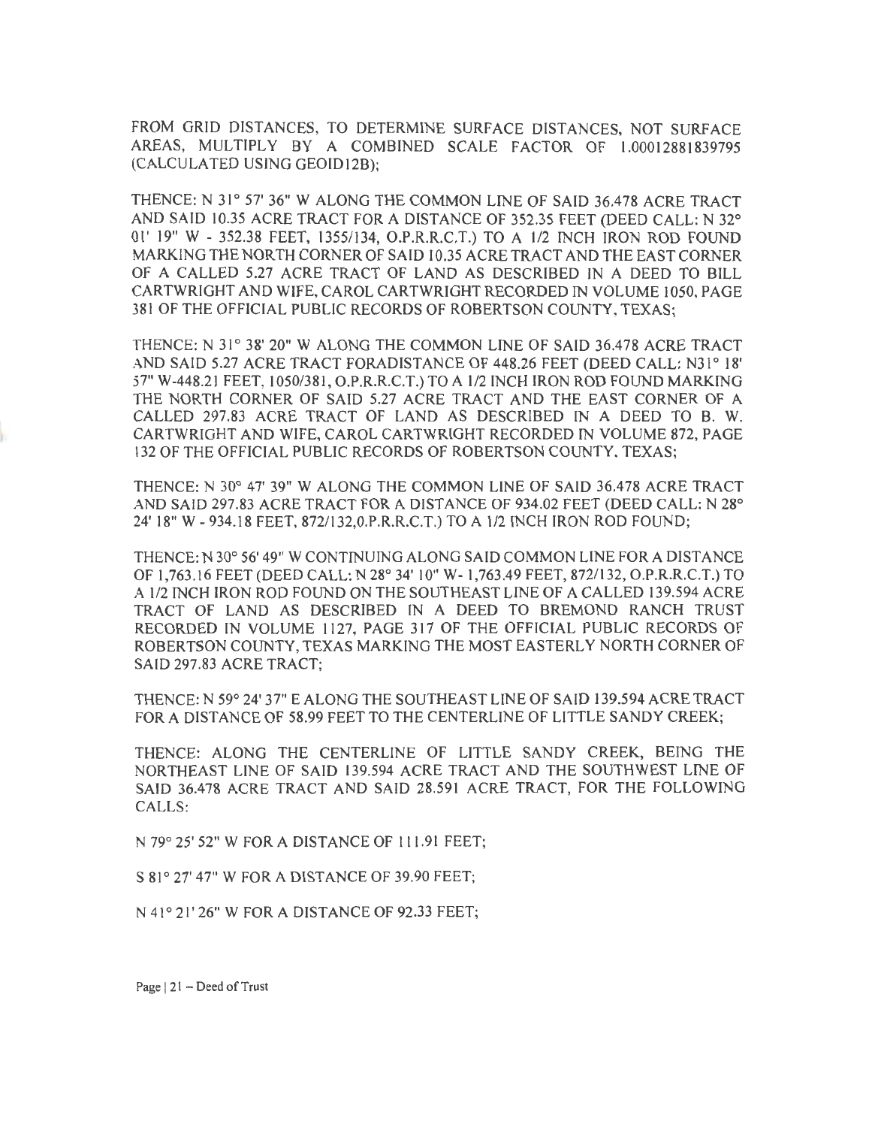FROM GRID DlSTANCES, TO DETERMINE SURFACE DISTANCES, NOT SURFACE AREAS, MULTIPLY BY A COMBINED SCALE FACTOR OF 1.00012881839795 (CALCULATED USING GEOID12B);

THENCE: N 31° 57' 36" W ALONG THE COMMON LINE OF SAID 36.478 ACRE TRACT AND SAID 10.35 ACRE TRACT FOR A DISTANCE OF 352.35 FEET (DEED CALL: N 32° 01' 19" W - 352.38 FEET, 1355/134, O.P.R.R.C.T.) TO A 1/2 INCH IRON ROD FOUND MARKING THE NORTH CORNER OF SAID 10.35 ACRE TRACT AND THE EAST CORNER OF A CALLED 5.27 ACRE TRACT OF LAND AS DESCRIBED IN A DEED TO BILL CARTWRIGHT AND WIFE CAROL CARTWRIGHT RECORDED IN VOLUME 1050, PAGE 381 OF THE OFFICIAL PUBLIC RECORDS OF ROBERTSON COUNTY, TEXAS;

THENCE: N 31° 38' 20" W ALONG THE COMMON LINE OF SAID 36.478 ACRE TRACT AND SAID 5.27 ACRE TRACT FORADISTANCE OF 448.26 FEET (DEED CALL: N31° 18' 57" W-448.21 FEET, 1050/381 , O.P.R.R.C.T.) TO A 1/2 INCH IRON ROD FOUND MARKING THE NORTH CORNER OF SAID 5.27 ACRE TRACT AND THE EAST CORNER OF A CALLED 297.83 ACRE TRACT OF LAND AS DESCRIBED IN A DEED TO B. W. CARTWRIGHT AND WlFE, CAROL CARTWRIGHT RECORDED IN VOLUME 872, PAGE 132 OF THE OFFICIAL PUBLIC RECORDS OF ROBERTSON COUNTY, TEXAS;

THENCE: N 30° 47' 39" W ALONG THE COMMON LINE OF SAID 36.478 ACRE TRACT AND SAID 297.83 ACRE TRACT FOR A DISTANCE OF 934.02 FEET (DEED CALL: N 28° 24' 18" W -934.18 FEET, 872/132,0.P.R.R.C.T.) TO A 1/2 INCH IRON ROD FOUND;

THENCE: N 30° 56' 49" W CONTINUING ALONG SALO COMMON LINE FOR A DISTANCE OF 1,763.16 FEET (DEED CALL: N 28° 34' 10" W- 1,763.49 FEET, 872/132, O.P.R.R.C.T.) TO A 1/2 INCH IRON ROD FOUND ON THE SOUTHEAST LINE OF A CALLED 139.594 ACRE TRACT OF LAND AS DESCRIBED fN A DEED TO BREMOND RANCH TRUST RECORDED IN VOLUME 1127, PAGE 317 OF THE OFFJCIAL PUBLIC RECORDS OF ROBERTSON COUNTY, TEXAS MARKING THE MOST EASTERLY NORTH CORNER OF SAID 297.83 ACRE TRACT;

THENCE: N 59° 24' 37" E ALONG THE SOUTHEAST LINE OF SAID 139.594 ACRE TRACT FOR A DISTANCE OF 58.99 FEET TO THE CENTERLINE OF LITTLE SANDY CREEK;

THENCE: ALONG THE CENTERLINE OF LITTLE SANDY CREEK, BEING THE NORTHEAST LINE OF SAID 139.594 ACRE TRACT AND THE SOUTHWEST LINE OF SAID 36.478 ACRE TRACT AND SAID 28.591 ACRE TRACT, FOR THE FOLLOWING CALLS:

N 79° 25' 52" W FOR A DISTANCE OF 11 l.9 l FEET;

S 81° 27' 47" W FOR A DISTANCE OF 39.90 FEET;

N 41° 21' 26" W FOR A DISTANCE OF 92.33 FEET;

Page  $|21 - \text{Dead of Trust}$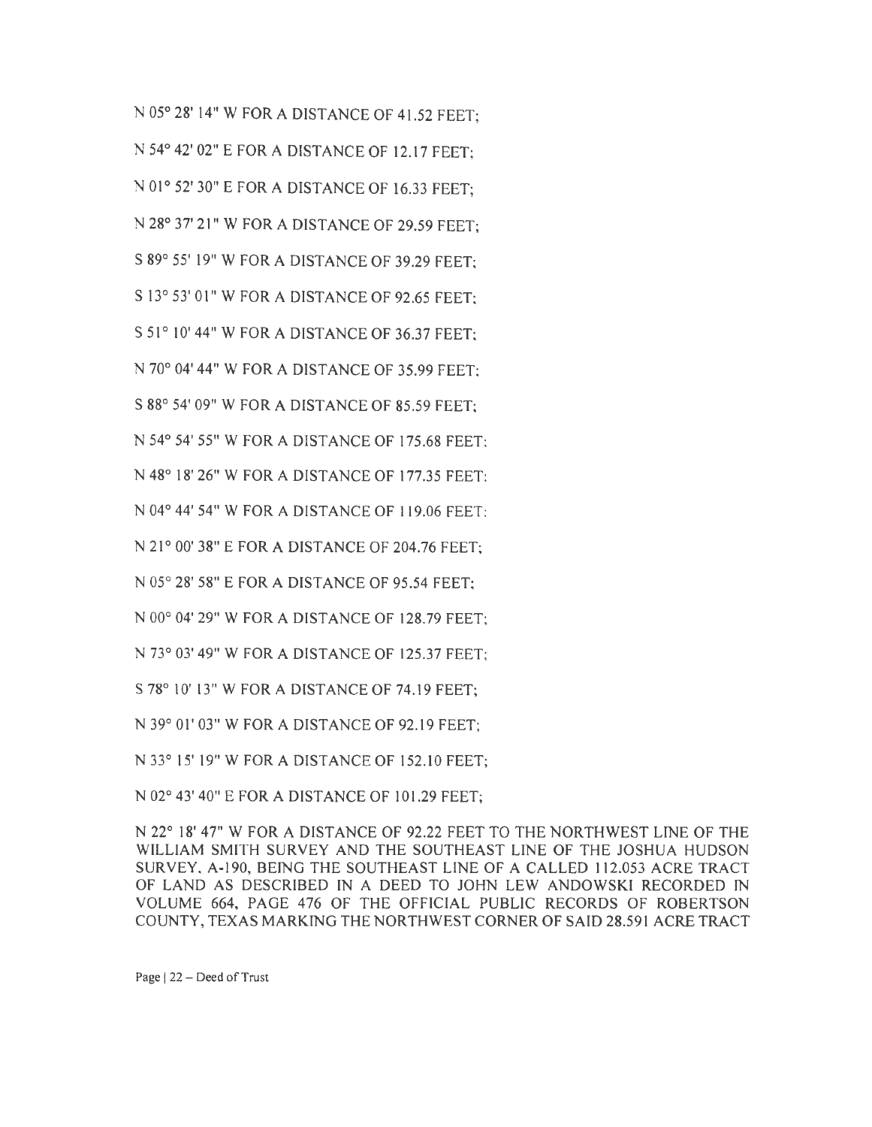N 05° 28' 14" W FOR A DISTANCE OF 41.52 FEET; N 54° 42' 02" E FOR A DISTANCE OF 12.17 FEET; N 01° 52' 30" E FOR A DISTANCE OF 16.33 FEET; N 28° 37' 21" W FOR A DISTANCE OF 29.59 FEET; S 89° 55' 19" W FOR A DISTANCE OF 39 .29 FEET; S 13° 53' 01" W FOR A DISTANCE OF 92.65 FEET; S 51° 10' 44" W FOR A DISTANCE OF 36.37 FEET; 70° 04' 44" W FOR A DISTANCE OF 35.99 FEET; S 88° 54' 09" W FOR A DISTANCE OF 85.59 FEET; N 54° 54' 55" W FOR A DISTANCE OF 175.68 FEET; N 48° 18' 26" W FORA DISTANCE OF 177.35 FEET; N 04° 44' 54" W FOR A DISTANCE OF 119.06 FEET· N 21° 00' 38" E FOR A DISTANCE OF 204.76 FEET; N 05° 28' 58" E FOR A DISTANCE OF 95 .54 FEET; N 00° 04' 29" W FOR A DISTANCE OF 128. 79 FEET: N 73° 03' 49" W FOR A DISTANCE OF 125.37 FEET;

S 78° 10' 13" W FOR A DISTANCE OF 74.19 FEET;

N 39° 01' 03" W FOR A DISTANCE OF 92.19 FEET;

N 33° 15' 19" W FORA DISTANCE OF 152.10 FEET;

N 02° 43' 40" E FOR A DISTANCE OF 101.29 FEET;

N 22° 18' 47" W FOR A DISTANCE OF 92.22 FEET TO THE NORTHWEST LINE OF THE WILUAM SMITH SURVEY AND THE SOUTHEAST LINE OF THE JOSHUA HUDSON SURVEY, A-190, BEING THE SOUTHEAST LINE OF A CALLED 112.053 ACRE TRACT OF LAND AS DESCRIBED IN A DEED TO JOHN LEW ANDOWSKI RECORDED IN VOLUME 664, PAGE 476 OF THE OFFICIAL PUBLIC RECORDS OF ROBERTSON COUNTY, TEXAS MARKING THE NORTHWEST CORNER OF SAID 28.591 ACRE TRACT

Page | 22 - Deed of Trust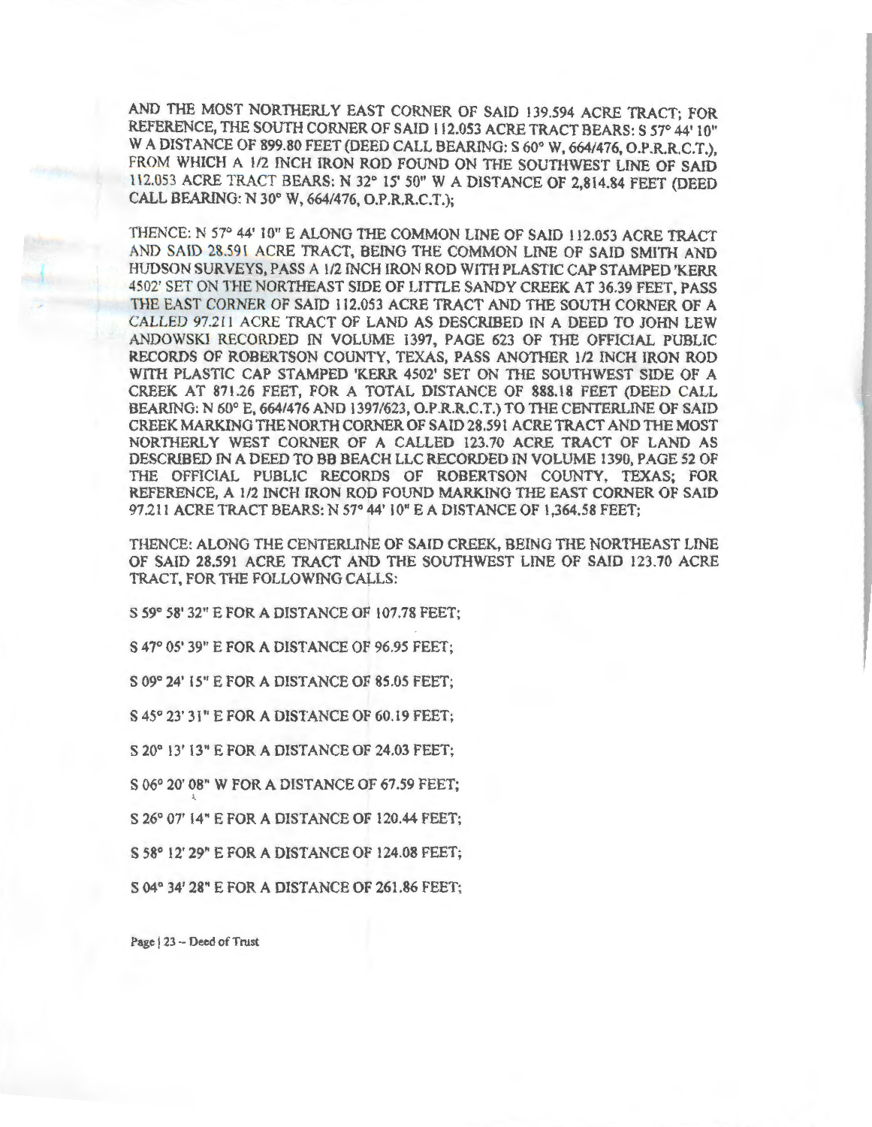AND THE MOST NORTHERLY EAST CORNER OF SAID 139.594 ACRE TRACT; FOR REFERENCE, THE SOUTH CORNER OF SAID 112.053 ACRE TRACT BEARS: S 57° 44' 10" W A DISTANCE OF 899.80 FEET (DEED CALL BEARING: S 60° W, 664/476, O.P.R.R.C.T.), FROM WHICH A 1/2 INCH IRON ROD FOUND ON THE SOUTHWEST LINE OF SAID 112.053 ACRE TRACT BEARS: N 32° 15' 50" WA DISTANCE OF 2,814.84 FEET (DEED CALL BEARING: N 30° W, 664/476, O.P.R.R.C.T.);

THENCE: N 57° 44' 10" E ALONG THE COMMON LINE OF SAID 112.053 ACRE TRACT AND SAID 28.591 ACRE TRACT, BEING THE COMMON LINE OF SAID SMJTH AND HUDSON SURVEYS, PASS A 1/2 INCH IRON ROD WITH PLASTIC CAP STAMPED 'KERR 4502' SET ON THE NORTHEAST SIDE OF LITTLE SANDY CREEK AT 36.39 FEET PASS THE EAST CORNER OF SAID 112.053 ACRE TRACT AND THE SOUTH CORNER OF A CALLED 97.211 ACRE TRACT OF LAND AS DESCRIBED IN A DEED TO JOHN LEW ANDOWSKI RECORDED IN VOLUME 1397, PAGE 623 OF THE OFFICIAL PUBLIC RECORDS OF ROBERTSON COUNTY, TEXAS, PASS ANOTHER 1/2 INCH lRON ROD WITH PLASTIC CAP STAMPED 'KERR 4502' SET ON THE SOUTHWEST SIDE OF A CREEK AT 871.26 FEET, FOR A TOTAL DISTANCE OF 888.18 FEET (DEED CALL BEARlNG: N 60° E, 664/476 AND 1397/623, O.P.R.R.C.T.) TO THE CENTERLINE OF SAID CREEK MARKING THE NORTH CORNER OF SAID 28.591 ACRE TRACT AND THE MOST NORTHERLY WEST CORNER OF A CALLED 123.70 ACRE TRACT OF LAND AS DESCRIBED IN A DEED TO BB BEACH LLC RECORDED IN VOLUME 1390, PAGE 52 OF THE OFFICIAL PUBLIC RECORDS OF ROBERTSON COUNTY, TEXAS; FOR REFERENCE, A 1/2 INCH IRON ROD FOUND MARKING THE EAST CORNER OF SAID 97.2 11 ACRE TRACT BEARS: N 57° 44' 10" EA DISTANCE OF 1,364.58 FEET;

THENCE: ALONG THE CENTERLINE OF SAID CREEK, BEING THE NORTHEAST LINE OF SAID 28.591 ACRE TRACT AND THE SOUTHWEST LINE OF SAID 123.70 ACRE TRACT, FOR THE FOLLOWING CALLS:

S 59° 58' 32" E FORA DISTANCE OF 107.78 FEET;

S 47° 05' 39" E FOR A DISTANCE OF 96.95 FEET;

S 09° 24' 15" E FOR A DISTANCE OF 85.05 FEET;

S 45° 23' 3 I" E FOR A DISTANCE OF 60.19 FEET;

S 20° 13' 13" E FOR A DISTANCE OF 24.03 FEET;

S 06° 20' 08" W FOR A DISTANCE OF 67.59 FEET;

S 26° 07' 14" E FOR A DISTANCE OF 120.44 FEET;

S 58° 12' 29" E FOR A DISTANCE OF 124.08 FEET;

S 04° 34' 28" E FOR A DISTANCE OF 261.86 FEET;

Page | 23 - Deed of Trust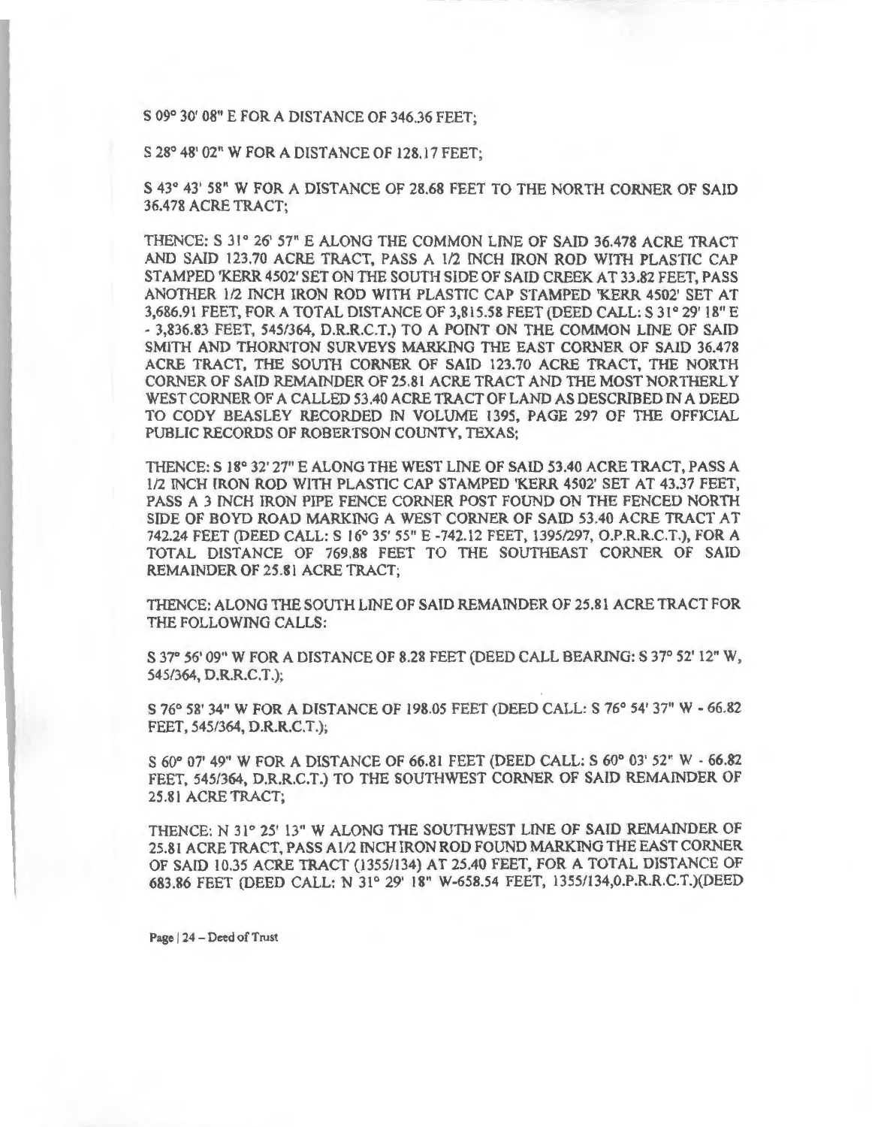S 09° 30' 08" E FOR A DISTANCE OF 346.36 FEET;

S 28° 48' 02" W FOR A DISTANCE OF 128.17 FEET;

S 43° 43' 58" W FOR A DISTANCE OF 28.68 FEET TO THE NORTH CORNER OF SAID 36.478 ACRE TRACT;

THENCE: S 31° 26' 57" E ALONG THE COMMON LINE OF SAID 36.478 ACRE TRACT AND SAID 123.70 ACRE TRACT, PASS A 1/2 INCH IRON ROD WITH PLASTIC CAP STAMPED 'KERR4502' SET ON THE SOUTH SIDE OF SAID CREEK AT 33.82 FEET, PASS ANOTHER 1/2 INCH IRON ROD WITH PLASTIC CAP STAMPED 'KERR 4502' SET AT 3,686.91 FEET, FOR A TOTAL DISTANCE OF 3,815.58 FEET (DEED CALL: S 31 ° 29' 18" E - 3,836.83 FEET, 545/364, D.R.R.C.T.) TO A POINT ON THE COMMON LINE OF SAID SMITH AND THORNTON SURVEYS MARKING THE EAST CORNER OF SAID 36.478 ACRE TRACT, THE SOUTH CORNER OF SAID 123.70 ACRE TRACT, THE NORTH CORNER OF SAID REMAINDER OF 25.81 ACRE TRACT AND THE MOST NORTHERLY WEST CORNER OF A CALLED 53.40 ACRE TRACT OF LAND AS DESCRIBED IN A DEED TO CODY BEASLEY RECORDED IN VOLUME 1395, PAGE 297 OF THE OFFICIAL PUBLIC RECORDS OF ROBERTSON COUNTY, TEXAS;

THENCE: S 18° 32' 27" E ALONG THE WEST LINE OF SAID 53.40 ACRE TRACT, PASS A l/2 INCH lRON ROD WITH PLASTIC CAP STAMPED 'KERR 4502' SET AT 43.37 FEET, PASS A 3 INCH IRON PIPE FENCE CORNER POST FOUND ON THE FENCED NORTH SIDE OF BOYD ROAD MARKING A WEST CORNER OF SAID 53.40 ACRE TRACT AT 742.24 FEET (DEED CALL: S 16° 35' 55" E -742.12 FEET, 1395/297, O.P.R.R.C.T.), FOR A TOTAL DISTANCE OF 769.88 FEET TO THE SOUTHEAST CORNER OF SAID REMAINDER OF 25.81 ACRE TRACT;

THENCE: ALONG THE SOUTH LINE OF SAID REMAINDER OF 25.81 ACRE TRACT FOR THE FOLLOWING CALLS:

S 37° 56' 09" W FOR A DISTANCE OF 8.28 FEET (DEED CALL BEARING: S 37° 52' 12" W 545/364, D.R.R.C.T.);

S 76° 58' 34" W FOR A DISTANCE OF 198.05 FEET (DEED CALL: S 76° 54' 37" W - 66.82 FEET, 545/364, D.R.R.C.T.);

S 60° 07' 49" W FOR A DISTANCE OF 66.81 FEET (DEED CALL: S 60° 03' 52" W - 66.82 FEET, 545/364, D.R.R.C.T.) TO THE SOUTHWEST CORNER OF SAID REMAINDER OF 25.81 ACRE TRACT;

THENCE: N 31° 25' 13" W ALONG THE SOUTHWEST LINE OF SAID REMAINDER OF 25.81 ACRE TRACT, PASS A 1/2 INCH IRON ROD FOUND MARKING THE EAST CORNER OF SAID 10.35 ACRE TRACT (1355/134) AT 25.40 FEET, FOR A TOTAL DISTANCE OF 683.86 FEET (DEED CALL: N 31° 29' 18" W-658.54 FEET, 1355/134,0.P.R.R.C.T.)(DEED

Page | 24 - Deed of Trust